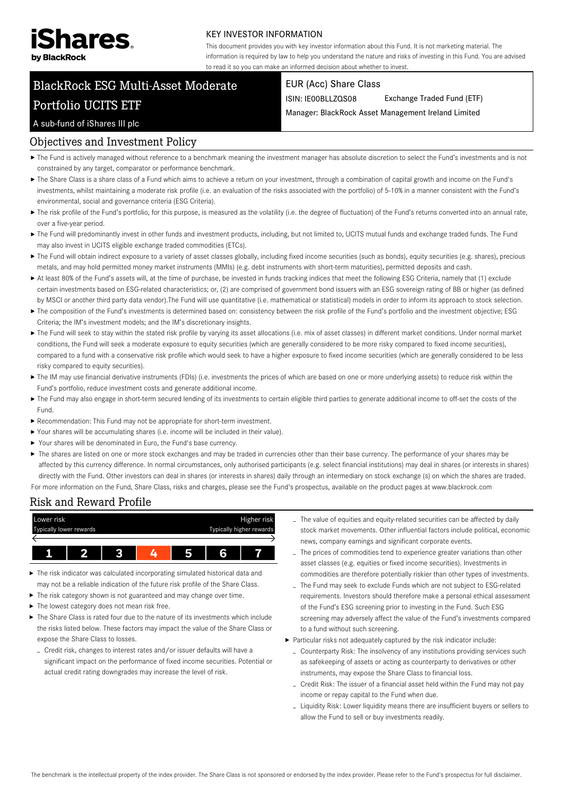

#### KEY INVESTOR INFORMATION

This document provides you with key investor information about this Fund. It is not marketing material. The information is required by law to help you understand the nature and risks of investing in this Fund. You are advised to read it so you can make an informed decision about whether to invest.

# BlackRock ESG Multi-Asset Moderate Portfolio UCITS ETF

#### EUR (Acc) Share Class

ISIN: IE00BLLZQS08 Exchange Traded Fund (ETF)

Manager: BlackRock Asset Management Ireland Limited

## A sub-fund of iShares III plc

#### Objectives and Investment Policy

- ▶ The Fund is actively managed without reference to a benchmark meaning the investment manager has absolute discretion to select the Fund's investments and is not constrained by any target, comparator or performance benchmark.
- The Share Class is a share class of a Fund which aims to achieve a return on your investment, through a combination of capital growth and income on the Fund's investments, whilst maintaining a moderate risk profile (i.e. an evaluation of the risks associated with the portfolio) of 5-10% in a manner consistent with the Fund's environmental, social and governance criteria (ESG Criteria).
- ▶ The risk profile of the Fund's portfolio, for this purpose, is measured as the volatility (i.e. the degree of fluctuation) of the Fund's returns converted into an annual rate, over a five-year period.
- ▶ The Fund will predominantly invest in other funds and investment products, including, but not limited to, UCITS mutual funds and exchange traded funds. The Fund may also invest in UCITS eligible exchange traded commodities (ETCs).
- ▶ The Fund will obtain indirect exposure to a variety of asset classes globally, including fixed income securities (such as bonds), equity securities (e.g. shares), precious metals, and may hold permitted money market instruments (MMIs) (e.g. debt instruments with short-term maturities), permitted deposits and cash.
- At least 80% of the Fund's assets will, at the time of purchase, be invested in funds tracking indices that meet the following ESG Criteria, namely that (1) exclude certain investments based on ESG-related characteristics; or, (2) are comprised of government bond issuers with an ESG sovereign rating of BB or higher (as defined by MSCI or another third party data vendor).The Fund will use quantitative (i.e. mathematical or statistical) models in order to inform its approach to stock selection.
- ▶ The composition of the Fund's investments is determined based on: consistency between the risk profile of the Fund's portfolio and the investment objective; ESG Criteria; the IM's investment models; and the IM's discretionary insights.
- ▶ The Fund will seek to stay within the stated risk profile by varying its asset allocations (i.e. mix of asset classes) in different market conditions. Under normal market conditions, the Fund will seek a moderate exposure to equity securities (which are generally considered to be more risky compared to fixed income securities), compared to a fund with a conservative risk profile which would seek to have a higher exposure to fixed income securities (which are generally considered to be less risky compared to equity securities).
- ▶ The IM may use financial derivative instruments (FDIs) (i.e. investments the prices of which are based on one or more underlying assets) to reduce risk within the Fund's portfolio, reduce investment costs and generate additional income.
- The Fund may also engage in short-term secured lending of its investments to certain eligible third parties to generate additional income to off-set the costs of the Fund.
- Recommendation: This Fund may not be appropriate for short-term investment.
- Your shares will be accumulating shares (i.e. income will be included in their value).
- ▶ Your shares will be denominated in Euro, the Fund's base currency.
- ▶ The shares are listed on one or more stock exchanges and may be traded in currencies other than their base currency. The performance of your shares may be affected by this currency difference. In normal circumstances, only authorised participants (e.g. select financial institutions) may deal in shares (or interests in shares) directly with the Fund. Other investors can deal in shares (or interests in shares) daily through an intermediary on stock exchange (s) on which the shares are traded. For more information on the Fund, Share Class, risks and charges, please see the Fund's prospectus, available on the product pages at www.blackrock.com

# Risk and Reward Profile



- The risk indicator was calculated incorporating simulated historical data and may not be a reliable indication of the future risk profile of the Share Class.
- The risk category shown is not guaranteed and may change over time.
- The lowest category does not mean risk free.
- The Share Class is rated four due to the nature of its investments which include the risks listed below. These factors may impact the value of the Share Class or expose the Share Class to losses.
	- Credit risk, changes to interest rates and/or issuer defaults will have a significant impact on the performance of fixed income securities. Potential or actual credit rating downgrades may increase the level of risk.
- The value of equities and equity-related securities can be affected by daily stock market movements. Other influential factors include political, economic news, company earnings and significant corporate events.
- The prices of commodities tend to experience greater variations than other asset classes (e.g. equities or fixed income securities). Investments in commodities are therefore potentially riskier than other types of investments.
- The Fund may seek to exclude Funds which are not subject to ESG-related requirements. Investors should therefore make a personal ethical assessment of the Fund's ESG screening prior to investing in the Fund. Such ESG screening may adversely affect the value of the Fund's investments compared to a fund without such screening.
- Particular risks not adequately captured by the risk indicator include:
- Counterparty Risk: The insolvency of any institutions providing services such as safekeeping of assets or acting as counterparty to derivatives or other instruments, may expose the Share Class to financial loss.
- Credit Risk: The issuer of a financial asset held within the Fund may not pay income or repay capital to the Fund when due.
- Liquidity Risk: Lower liquidity means there are insufficient buyers or sellers to allow the Fund to sell or buy investments readily.